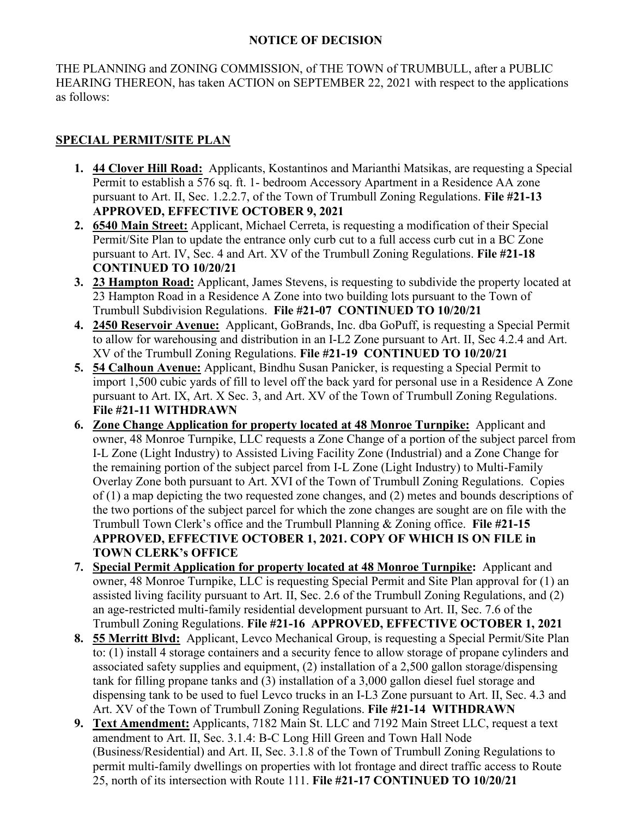## **NOTICE OF DECISION**

THE PLANNING and ZONING COMMISSION, of THE TOWN of TRUMBULL, after a PUBLIC HEARING THEREON, has taken ACTION on SEPTEMBER 22, 2021 with respect to the applications as follows:

## **SPECIAL PERMIT/SITE PLAN**

- **1. 44 Clover Hill Road:** Applicants, Kostantinos and Marianthi Matsikas, are requesting a Special Permit to establish a 576 sq. ft. 1- bedroom Accessory Apartment in a Residence AA zone pursuant to Art. II, Sec. 1.2.2.7, of the Town of Trumbull Zoning Regulations. **File #21-13 APPROVED, EFFECTIVE OCTOBER 9, 2021**
- **2. 6540 Main Street:** Applicant, Michael Cerreta, is requesting a modification of their Special Permit/Site Plan to update the entrance only curb cut to a full access curb cut in a BC Zone pursuant to Art. IV, Sec. 4 and Art. XV of the Trumbull Zoning Regulations. **File #21-18 CONTINUED TO 10/20/21**
- **3. 23 Hampton Road:** Applicant, James Stevens, is requesting to subdivide the property located at 23 Hampton Road in a Residence A Zone into two building lots pursuant to the Town of Trumbull Subdivision Regulations. **File #21-07 CONTINUED TO 10/20/21**
- **4. 2450 Reservoir Avenue:** Applicant, GoBrands, Inc. dba GoPuff, is requesting a Special Permit to allow for warehousing and distribution in an I-L2 Zone pursuant to Art. II, Sec 4.2.4 and Art. XV of the Trumbull Zoning Regulations. **File #21-19 CONTINUED TO 10/20/21**
- **5. 54 Calhoun Avenue:** Applicant, Bindhu Susan Panicker, is requesting a Special Permit to import 1,500 cubic yards of fill to level off the back yard for personal use in a Residence A Zone pursuant to Art. IX, Art. X Sec. 3, and Art. XV of the Town of Trumbull Zoning Regulations. **File #21-11 WITHDRAWN**
- **6. Zone Change Application for property located at 48 Monroe Turnpike:** Applicant and owner, 48 Monroe Turnpike, LLC requests a Zone Change of a portion of the subject parcel from I-L Zone (Light Industry) to Assisted Living Facility Zone (Industrial) and a Zone Change for the remaining portion of the subject parcel from I-L Zone (Light Industry) to Multi-Family Overlay Zone both pursuant to Art. XVI of the Town of Trumbull Zoning Regulations. Copies of (1) a map depicting the two requested zone changes, and (2) metes and bounds descriptions of the two portions of the subject parcel for which the zone changes are sought are on file with the Trumbull Town Clerk's office and the Trumbull Planning & Zoning office. **File #21-15 APPROVED, EFFECTIVE OCTOBER 1, 2021. COPY OF WHICH IS ON FILE in TOWN CLERK's OFFICE**
- **7. Special Permit Application for property located at 48 Monroe Turnpike:** Applicant and owner, 48 Monroe Turnpike, LLC is requesting Special Permit and Site Plan approval for (1) an assisted living facility pursuant to Art. II, Sec. 2.6 of the Trumbull Zoning Regulations, and (2) an age-restricted multi-family residential development pursuant to Art. II, Sec. 7.6 of the Trumbull Zoning Regulations. **File #21-16 APPROVED, EFFECTIVE OCTOBER 1, 2021**
- **8. 55 Merritt Blvd:** Applicant, Levco Mechanical Group, is requesting a Special Permit/Site Plan to: (1) install 4 storage containers and a security fence to allow storage of propane cylinders and associated safety supplies and equipment, (2) installation of a 2,500 gallon storage/dispensing tank for filling propane tanks and (3) installation of a 3,000 gallon diesel fuel storage and dispensing tank to be used to fuel Levco trucks in an I-L3 Zone pursuant to Art. II, Sec. 4.3 and Art. XV of the Town of Trumbull Zoning Regulations. **File #21-14 WITHDRAWN**
- **9. Text Amendment:** Applicants, 7182 Main St. LLC and 7192 Main Street LLC, request a text amendment to Art. II, Sec. 3.1.4: B-C Long Hill Green and Town Hall Node (Business/Residential) and Art. II, Sec. 3.1.8 of the Town of Trumbull Zoning Regulations to permit multi-family dwellings on properties with lot frontage and direct traffic access to Route 25, north of its intersection with Route 111. **File #21-17 CONTINUED TO 10/20/21**